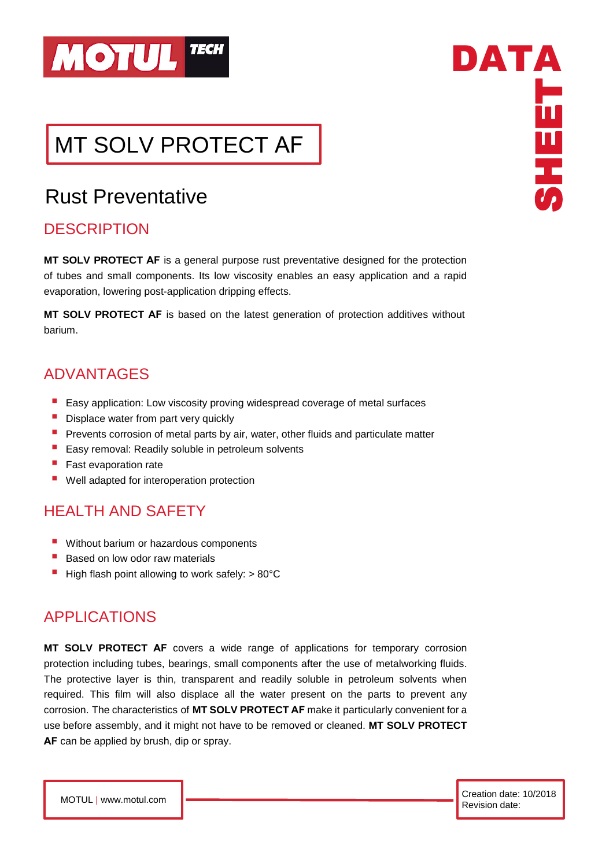

# MT SOLV PROTECT AF

## Rust Preventative

### **DESCRIPTION**

**MT SOLV PROTECT AF** is a general purpose rust preventative designed for the protection of tubes and small components. Its low viscosity enables an easy application and a rapid evaporation, lowering post-application dripping effects.

**MT SOLV PROTECT AF** is based on the latest generation of protection additives without barium.

### ADVANTAGES

- Easy application: Low viscosity proving widespread coverage of metal surfaces
- **E** Displace water from part very quickly
- **•** Prevents corrosion of metal parts by air, water, other fluids and particulate matter
- Easy removal: Readily soluble in petroleum solvents
- **Fast evaporation rate**
- Well adapted for interoperation protection

### HEALTH AND SAFETY

- Without barium or hazardous components
- Based on low odor raw materials
- $\blacksquare$  High flash point allowing to work safely:  $> 80^{\circ}$ C

### APPLICATIONS

**MT SOLV PROTECT AF** covers a wide range of applications for temporary corrosion protection including tubes, bearings, small components after the use of metalworking fluids. The protective layer is thin, transparent and readily soluble in petroleum solvents when required. This film will also displace all the water present on the parts to prevent any corrosion. The characteristics of **MT SOLV PROTECT AF** make it particularly convenient for a use before assembly, and it might not have to be removed or cleaned. **MT SOLV PROTECT AF** can be applied by brush, dip or spray.